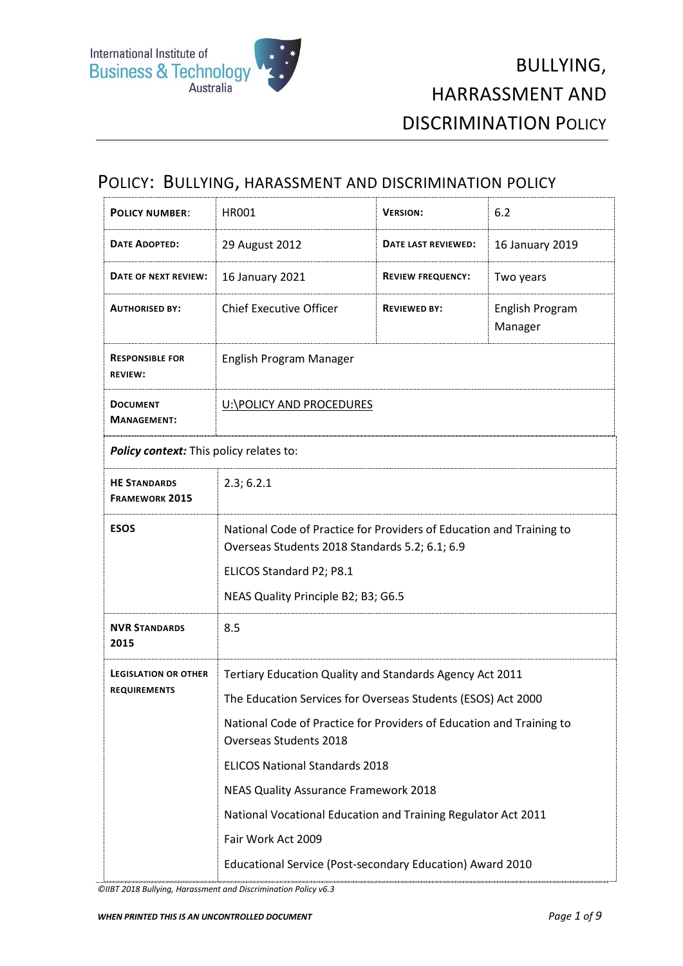#### POLICY: BULLYING, HARASSMENT AND DISCRIMINATION POLICY

| 29 August 2012                                                                                                                                                                                                                                                                                                                                                                                             | DATE LAST REVIEWED:      | 16 January 2019                                           |
|------------------------------------------------------------------------------------------------------------------------------------------------------------------------------------------------------------------------------------------------------------------------------------------------------------------------------------------------------------------------------------------------------------|--------------------------|-----------------------------------------------------------|
| 16 January 2021                                                                                                                                                                                                                                                                                                                                                                                            | <b>REVIEW FREQUENCY:</b> | Two years                                                 |
| <b>Chief Executive Officer</b>                                                                                                                                                                                                                                                                                                                                                                             | <b>REVIEWED BY:</b>      | English Program<br>Manager                                |
| English Program Manager                                                                                                                                                                                                                                                                                                                                                                                    |                          |                                                           |
| U:\POLICY AND PROCEDURES                                                                                                                                                                                                                                                                                                                                                                                   |                          |                                                           |
| Policy context: This policy relates to:                                                                                                                                                                                                                                                                                                                                                                    |                          |                                                           |
| 2.3; 6.2.1                                                                                                                                                                                                                                                                                                                                                                                                 |                          |                                                           |
| National Code of Practice for Providers of Education and Training to<br>Overseas Students 2018 Standards 5.2; 6.1; 6.9<br>ELICOS Standard P2; P8.1<br>NEAS Quality Principle B2; B3; G6.5                                                                                                                                                                                                                  |                          |                                                           |
| 8.5                                                                                                                                                                                                                                                                                                                                                                                                        |                          |                                                           |
| Tertiary Education Quality and Standards Agency Act 2011<br>The Education Services for Overseas Students (ESOS) Act 2000<br>National Code of Practice for Providers of Education and Training to<br>Overseas Students 2018<br><b>ELICOS National Standards 2018</b><br><b>NEAS Quality Assurance Framework 2018</b><br>National Vocational Education and Training Regulator Act 2011<br>Fair Work Act 2009 |                          |                                                           |
|                                                                                                                                                                                                                                                                                                                                                                                                            |                          | Educational Service (Post-secondary Education) Award 2010 |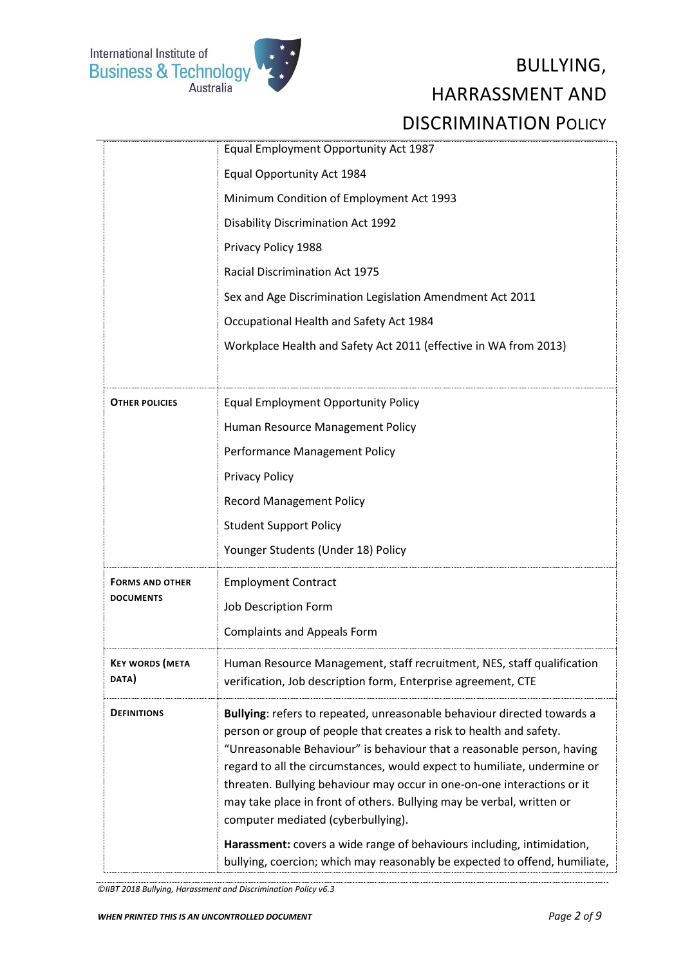

|                                 | Equal Employment Opportunity Act 1987                                                                                                                                                                                                                                                                                                                                                                                                                                                                                                                                                                                                                  |
|---------------------------------|--------------------------------------------------------------------------------------------------------------------------------------------------------------------------------------------------------------------------------------------------------------------------------------------------------------------------------------------------------------------------------------------------------------------------------------------------------------------------------------------------------------------------------------------------------------------------------------------------------------------------------------------------------|
|                                 | Equal Opportunity Act 1984                                                                                                                                                                                                                                                                                                                                                                                                                                                                                                                                                                                                                             |
|                                 | Minimum Condition of Employment Act 1993                                                                                                                                                                                                                                                                                                                                                                                                                                                                                                                                                                                                               |
|                                 | <b>Disability Discrimination Act 1992</b>                                                                                                                                                                                                                                                                                                                                                                                                                                                                                                                                                                                                              |
|                                 | Privacy Policy 1988                                                                                                                                                                                                                                                                                                                                                                                                                                                                                                                                                                                                                                    |
|                                 | <b>Racial Discrimination Act 1975</b>                                                                                                                                                                                                                                                                                                                                                                                                                                                                                                                                                                                                                  |
|                                 | Sex and Age Discrimination Legislation Amendment Act 2011                                                                                                                                                                                                                                                                                                                                                                                                                                                                                                                                                                                              |
|                                 | Occupational Health and Safety Act 1984                                                                                                                                                                                                                                                                                                                                                                                                                                                                                                                                                                                                                |
|                                 | Workplace Health and Safety Act 2011 (effective in WA from 2013)                                                                                                                                                                                                                                                                                                                                                                                                                                                                                                                                                                                       |
|                                 |                                                                                                                                                                                                                                                                                                                                                                                                                                                                                                                                                                                                                                                        |
| <b>OTHER POLICIES</b>           | <b>Equal Employment Opportunity Policy</b>                                                                                                                                                                                                                                                                                                                                                                                                                                                                                                                                                                                                             |
|                                 | Human Resource Management Policy                                                                                                                                                                                                                                                                                                                                                                                                                                                                                                                                                                                                                       |
|                                 | Performance Management Policy                                                                                                                                                                                                                                                                                                                                                                                                                                                                                                                                                                                                                          |
|                                 | <b>Privacy Policy</b>                                                                                                                                                                                                                                                                                                                                                                                                                                                                                                                                                                                                                                  |
|                                 | <b>Record Management Policy</b>                                                                                                                                                                                                                                                                                                                                                                                                                                                                                                                                                                                                                        |
|                                 | <b>Student Support Policy</b>                                                                                                                                                                                                                                                                                                                                                                                                                                                                                                                                                                                                                          |
|                                 | Younger Students (Under 18) Policy                                                                                                                                                                                                                                                                                                                                                                                                                                                                                                                                                                                                                     |
| <b>FORMS AND OTHER</b>          | <b>Employment Contract</b>                                                                                                                                                                                                                                                                                                                                                                                                                                                                                                                                                                                                                             |
| <b>DOCUMENTS</b>                | Job Description Form                                                                                                                                                                                                                                                                                                                                                                                                                                                                                                                                                                                                                                   |
|                                 | <b>Complaints and Appeals Form</b>                                                                                                                                                                                                                                                                                                                                                                                                                                                                                                                                                                                                                     |
| <b>KEY WORDS (META</b><br>DATA) | Human Resource Management, staff recruitment, NES, staff qualification<br>verification, Job description form, Enterprise agreement, CTE                                                                                                                                                                                                                                                                                                                                                                                                                                                                                                                |
| <b>DEFINITIONS</b>              | Bullying: refers to repeated, unreasonable behaviour directed towards a<br>person or group of people that creates a risk to health and safety.<br>"Unreasonable Behaviour" is behaviour that a reasonable person, having<br>regard to all the circumstances, would expect to humiliate, undermine or<br>threaten. Bullying behaviour may occur in one-on-one interactions or it<br>may take place in front of others. Bullying may be verbal, written or<br>computer mediated (cyberbullying).<br>Harassment: covers a wide range of behaviours including, intimidation,<br>bullying, coercion; which may reasonably be expected to offend, humiliate, |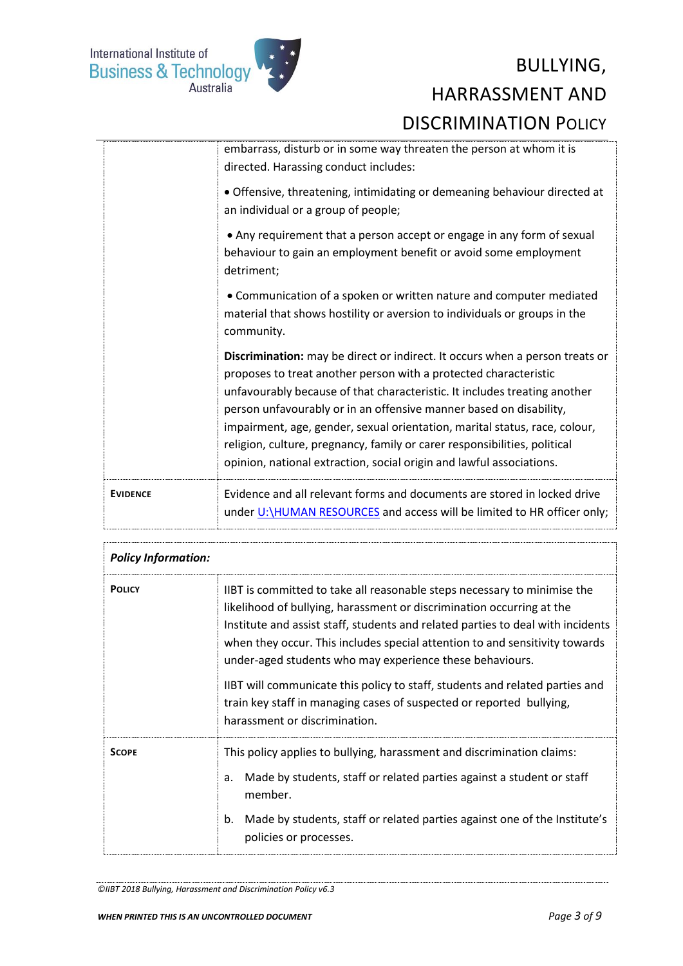

|                 | embarrass, disturb or in some way threaten the person at whom it is<br>directed. Harassing conduct includes:                                                                                                                                                                                                                                                                                                                                                                                                                           |
|-----------------|----------------------------------------------------------------------------------------------------------------------------------------------------------------------------------------------------------------------------------------------------------------------------------------------------------------------------------------------------------------------------------------------------------------------------------------------------------------------------------------------------------------------------------------|
|                 | · Offensive, threatening, intimidating or demeaning behaviour directed at<br>an individual or a group of people;                                                                                                                                                                                                                                                                                                                                                                                                                       |
|                 | • Any requirement that a person accept or engage in any form of sexual<br>behaviour to gain an employment benefit or avoid some employment<br>detriment;                                                                                                                                                                                                                                                                                                                                                                               |
|                 | • Communication of a spoken or written nature and computer mediated<br>material that shows hostility or aversion to individuals or groups in the<br>community.                                                                                                                                                                                                                                                                                                                                                                         |
|                 | Discrimination: may be direct or indirect. It occurs when a person treats or<br>proposes to treat another person with a protected characteristic<br>unfavourably because of that characteristic. It includes treating another<br>person unfavourably or in an offensive manner based on disability,<br>impairment, age, gender, sexual orientation, marital status, race, colour,<br>religion, culture, pregnancy, family or carer responsibilities, political<br>opinion, national extraction, social origin and lawful associations. |
| <b>EVIDENCE</b> | Evidence and all relevant forms and documents are stored in locked drive<br>under U:\HUMAN RESOURCES and access will be limited to HR officer only;                                                                                                                                                                                                                                                                                                                                                                                    |

| <b>Policy Information:</b> |                                                                                                                                                                                                                                                                                                                                                                                 |
|----------------------------|---------------------------------------------------------------------------------------------------------------------------------------------------------------------------------------------------------------------------------------------------------------------------------------------------------------------------------------------------------------------------------|
| <b>POLICY</b>              | IIBT is committed to take all reasonable steps necessary to minimise the<br>likelihood of bullying, harassment or discrimination occurring at the<br>Institute and assist staff, students and related parties to deal with incidents<br>when they occur. This includes special attention to and sensitivity towards<br>under-aged students who may experience these behaviours. |
|                            | IIBT will communicate this policy to staff, students and related parties and<br>train key staff in managing cases of suspected or reported bullying,<br>harassment or discrimination.                                                                                                                                                                                           |
| <b>SCOPF</b>               | This policy applies to bullying, harassment and discrimination claims:<br>Made by students, staff or related parties against a student or staff<br>a.<br>member.<br>Made by students, staff or related parties against one of the Institute's<br>b.<br>policies or processes.                                                                                                   |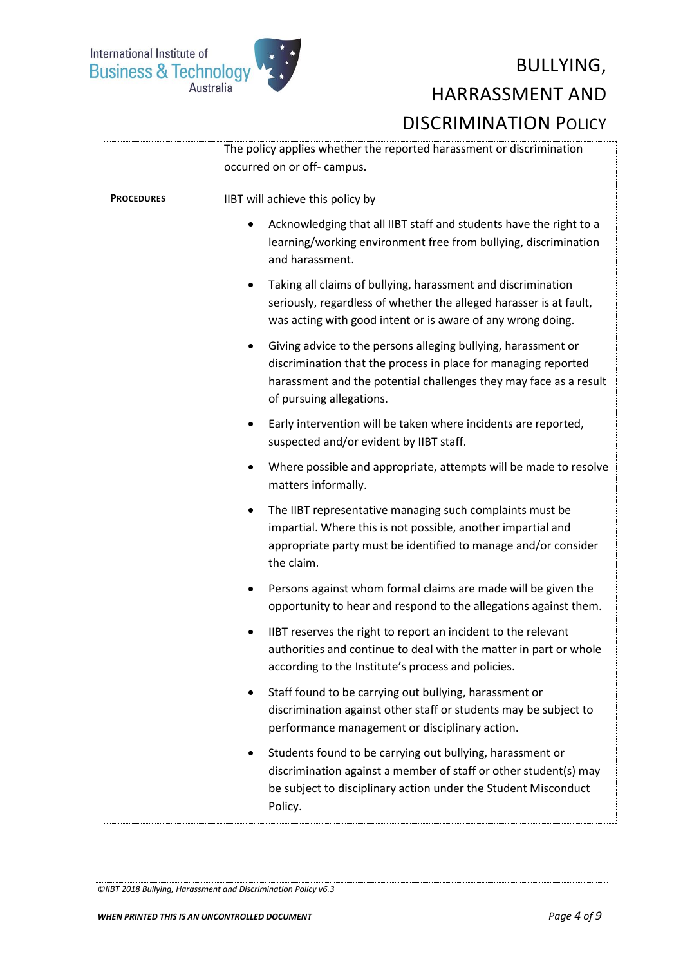

|                   | The policy applies whether the reported harassment or discrimination<br>occurred on or off- campus.                                                                                                                                           |
|-------------------|-----------------------------------------------------------------------------------------------------------------------------------------------------------------------------------------------------------------------------------------------|
| <b>PROCEDURES</b> | IIBT will achieve this policy by                                                                                                                                                                                                              |
|                   | Acknowledging that all IIBT staff and students have the right to a<br>learning/working environment free from bullying, discrimination<br>and harassment.                                                                                      |
|                   | Taking all claims of bullying, harassment and discrimination<br>٠<br>seriously, regardless of whether the alleged harasser is at fault,<br>was acting with good intent or is aware of any wrong doing.                                        |
|                   | Giving advice to the persons alleging bullying, harassment or<br>$\bullet$<br>discrimination that the process in place for managing reported<br>harassment and the potential challenges they may face as a result<br>of pursuing allegations. |
|                   | Early intervention will be taken where incidents are reported,<br>suspected and/or evident by IIBT staff.                                                                                                                                     |
|                   | Where possible and appropriate, attempts will be made to resolve<br>٠<br>matters informally.                                                                                                                                                  |
|                   | The IIBT representative managing such complaints must be<br>٠<br>impartial. Where this is not possible, another impartial and<br>appropriate party must be identified to manage and/or consider<br>the claim.                                 |
|                   | Persons against whom formal claims are made will be given the<br>٠<br>opportunity to hear and respond to the allegations against them.                                                                                                        |
|                   | IIBT reserves the right to report an incident to the relevant<br>authorities and continue to deal with the matter in part or whole<br>according to the Institute's process and policies.                                                      |
|                   | Staff found to be carrying out bullying, harassment or<br>discrimination against other staff or students may be subject to<br>performance management or disciplinary action.                                                                  |
|                   | Students found to be carrying out bullying, harassment or<br>$\bullet$<br>discrimination against a member of staff or other student(s) may<br>be subject to disciplinary action under the Student Misconduct<br>Policy.                       |
|                   |                                                                                                                                                                                                                                               |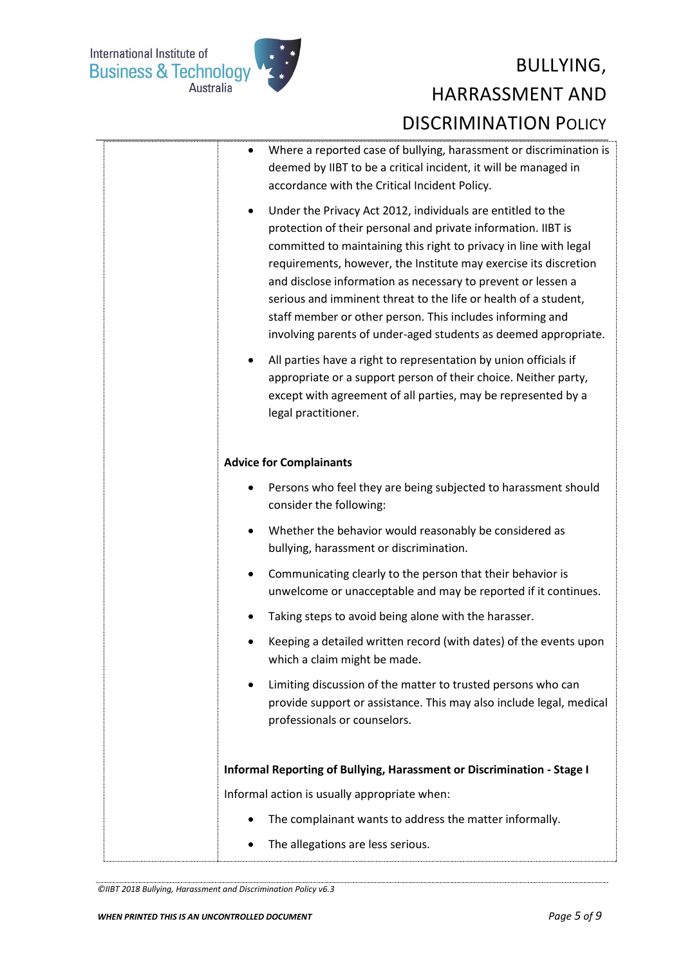

| Where a reported case of bullying, harassment or discrimination is<br>$\bullet$<br>deemed by IIBT to be a critical incident, it will be managed in<br>accordance with the Critical Incident Policy.<br>Under the Privacy Act 2012, individuals are entitled to the<br>٠<br>protection of their personal and private information. IIBT is<br>committed to maintaining this right to privacy in line with legal<br>requirements, however, the Institute may exercise its discretion<br>and disclose information as necessary to prevent or lessen a<br>serious and imminent threat to the life or health of a student,<br>staff member or other person. This includes informing and<br>involving parents of under-aged students as deemed appropriate.<br>All parties have a right to representation by union officials if<br>٠<br>appropriate or a support person of their choice. Neither party,<br>except with agreement of all parties, may be represented by a |
|-------------------------------------------------------------------------------------------------------------------------------------------------------------------------------------------------------------------------------------------------------------------------------------------------------------------------------------------------------------------------------------------------------------------------------------------------------------------------------------------------------------------------------------------------------------------------------------------------------------------------------------------------------------------------------------------------------------------------------------------------------------------------------------------------------------------------------------------------------------------------------------------------------------------------------------------------------------------|
| legal practitioner.<br><b>Advice for Complainants</b>                                                                                                                                                                                                                                                                                                                                                                                                                                                                                                                                                                                                                                                                                                                                                                                                                                                                                                             |
| Persons who feel they are being subjected to harassment should<br>٠<br>consider the following:                                                                                                                                                                                                                                                                                                                                                                                                                                                                                                                                                                                                                                                                                                                                                                                                                                                                    |
| Whether the behavior would reasonably be considered as<br>$\bullet$<br>bullying, harassment or discrimination.                                                                                                                                                                                                                                                                                                                                                                                                                                                                                                                                                                                                                                                                                                                                                                                                                                                    |
| Communicating clearly to the person that their behavior is<br>٠<br>unwelcome or unacceptable and may be reported if it continues.                                                                                                                                                                                                                                                                                                                                                                                                                                                                                                                                                                                                                                                                                                                                                                                                                                 |
| Taking steps to avoid being alone with the harasser.                                                                                                                                                                                                                                                                                                                                                                                                                                                                                                                                                                                                                                                                                                                                                                                                                                                                                                              |
| Keeping a detailed written record (with dates) of the events upon<br>which a claim might be made.                                                                                                                                                                                                                                                                                                                                                                                                                                                                                                                                                                                                                                                                                                                                                                                                                                                                 |
| Limiting discussion of the matter to trusted persons who can<br>٠<br>provide support or assistance. This may also include legal, medical<br>professionals or counselors.                                                                                                                                                                                                                                                                                                                                                                                                                                                                                                                                                                                                                                                                                                                                                                                          |
| Informal Reporting of Bullying, Harassment or Discrimination - Stage I                                                                                                                                                                                                                                                                                                                                                                                                                                                                                                                                                                                                                                                                                                                                                                                                                                                                                            |
| Informal action is usually appropriate when:                                                                                                                                                                                                                                                                                                                                                                                                                                                                                                                                                                                                                                                                                                                                                                                                                                                                                                                      |
| The complainant wants to address the matter informally.<br>٠                                                                                                                                                                                                                                                                                                                                                                                                                                                                                                                                                                                                                                                                                                                                                                                                                                                                                                      |
| The allegations are less serious.                                                                                                                                                                                                                                                                                                                                                                                                                                                                                                                                                                                                                                                                                                                                                                                                                                                                                                                                 |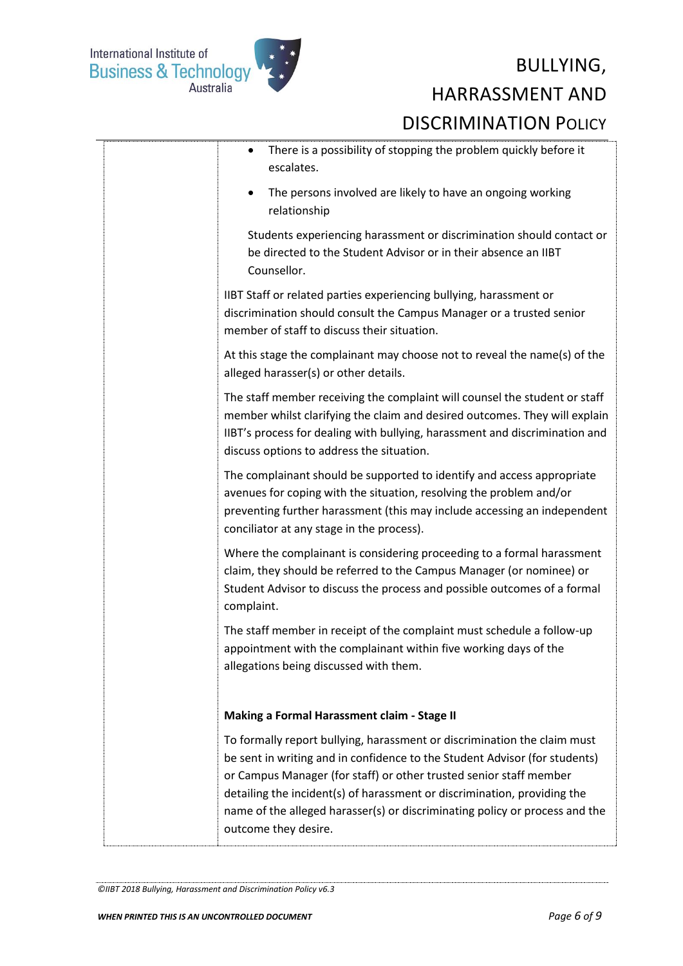

| There is a possibility of stopping the problem quickly before it<br>$\bullet$<br>escalates.                                                                                                                                                                                                                                                                                                                     |
|-----------------------------------------------------------------------------------------------------------------------------------------------------------------------------------------------------------------------------------------------------------------------------------------------------------------------------------------------------------------------------------------------------------------|
| The persons involved are likely to have an ongoing working<br>$\bullet$<br>relationship                                                                                                                                                                                                                                                                                                                         |
| Students experiencing harassment or discrimination should contact or<br>be directed to the Student Advisor or in their absence an IIBT<br>Counsellor.                                                                                                                                                                                                                                                           |
| IIBT Staff or related parties experiencing bullying, harassment or<br>discrimination should consult the Campus Manager or a trusted senior<br>member of staff to discuss their situation.                                                                                                                                                                                                                       |
| At this stage the complainant may choose not to reveal the name(s) of the<br>alleged harasser(s) or other details.                                                                                                                                                                                                                                                                                              |
| The staff member receiving the complaint will counsel the student or staff<br>member whilst clarifying the claim and desired outcomes. They will explain<br>IIBT's process for dealing with bullying, harassment and discrimination and<br>discuss options to address the situation.                                                                                                                            |
| The complainant should be supported to identify and access appropriate<br>avenues for coping with the situation, resolving the problem and/or<br>preventing further harassment (this may include accessing an independent<br>conciliator at any stage in the process).                                                                                                                                          |
| Where the complainant is considering proceeding to a formal harassment<br>claim, they should be referred to the Campus Manager (or nominee) or<br>Student Advisor to discuss the process and possible outcomes of a formal<br>complaint.                                                                                                                                                                        |
| The staff member in receipt of the complaint must schedule a follow-up<br>appointment with the complainant within five working days of the<br>allegations being discussed with them.                                                                                                                                                                                                                            |
| Making a Formal Harassment claim - Stage II                                                                                                                                                                                                                                                                                                                                                                     |
| To formally report bullying, harassment or discrimination the claim must<br>be sent in writing and in confidence to the Student Advisor (for students)<br>or Campus Manager (for staff) or other trusted senior staff member<br>detailing the incident(s) of harassment or discrimination, providing the<br>name of the alleged harasser(s) or discriminating policy or process and the<br>outcome they desire. |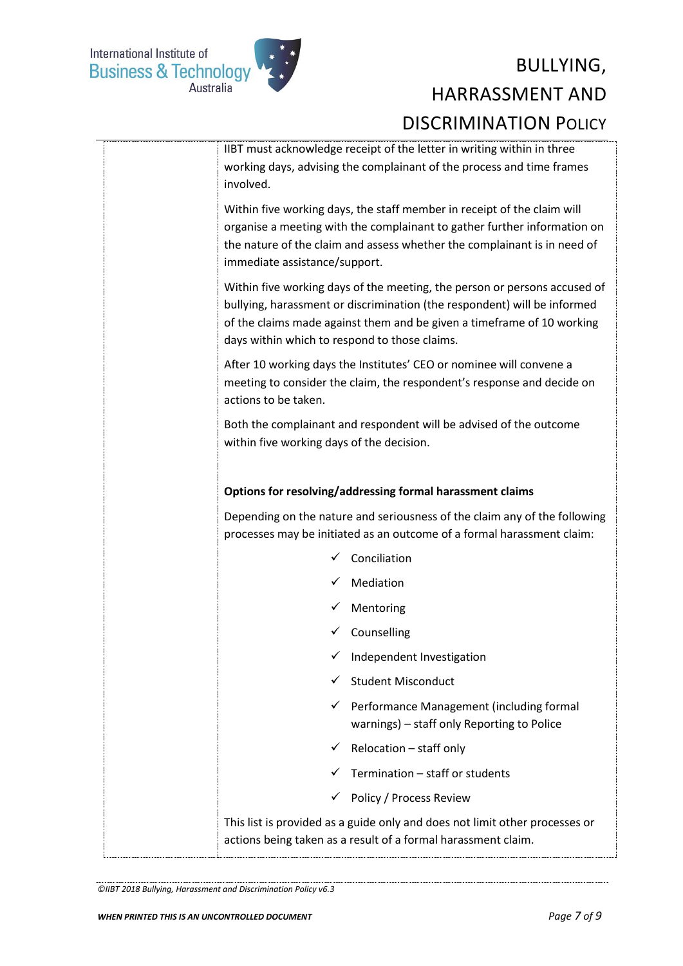

| IIBT must acknowledge receipt of the letter in writing within in three<br>working days, advising the complainant of the process and time frames<br>involved.                                                                                                                     |
|----------------------------------------------------------------------------------------------------------------------------------------------------------------------------------------------------------------------------------------------------------------------------------|
| Within five working days, the staff member in receipt of the claim will<br>organise a meeting with the complainant to gather further information on<br>the nature of the claim and assess whether the complainant is in need of<br>immediate assistance/support.                 |
| Within five working days of the meeting, the person or persons accused of<br>bullying, harassment or discrimination (the respondent) will be informed<br>of the claims made against them and be given a timeframe of 10 working<br>days within which to respond to those claims. |
| After 10 working days the Institutes' CEO or nominee will convene a<br>meeting to consider the claim, the respondent's response and decide on<br>actions to be taken.                                                                                                            |
| Both the complainant and respondent will be advised of the outcome<br>within five working days of the decision.                                                                                                                                                                  |
| Options for resolving/addressing formal harassment claims                                                                                                                                                                                                                        |
| Depending on the nature and seriousness of the claim any of the following<br>processes may be initiated as an outcome of a formal harassment claim:                                                                                                                              |
| Conciliation                                                                                                                                                                                                                                                                     |
| Mediation                                                                                                                                                                                                                                                                        |
| Mentoring                                                                                                                                                                                                                                                                        |
| √ Counselling                                                                                                                                                                                                                                                                    |
| Independent Investigation                                                                                                                                                                                                                                                        |
| <b>Student Misconduct</b>                                                                                                                                                                                                                                                        |
| Performance Management (including formal<br>✓<br>warnings) - staff only Reporting to Police                                                                                                                                                                                      |
| Relocation - staff only<br>$\checkmark$                                                                                                                                                                                                                                          |
| Termination - staff or students                                                                                                                                                                                                                                                  |
| Policy / Process Review<br>$\checkmark$                                                                                                                                                                                                                                          |
| This list is provided as a guide only and does not limit other processes or<br>actions being taken as a result of a formal harassment claim.                                                                                                                                     |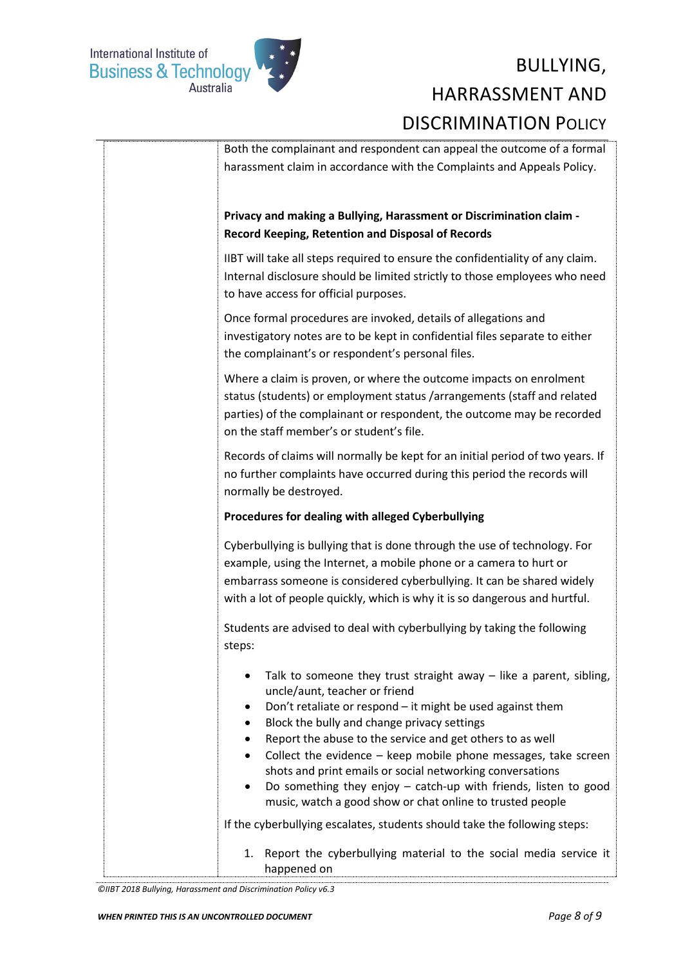

| Both the complainant and respondent can appeal the outcome of a formal<br>harassment claim in accordance with the Complaints and Appeals Policy.                                                                                                                                                                                                                                                                                                                                                                                                                                                                              |
|-------------------------------------------------------------------------------------------------------------------------------------------------------------------------------------------------------------------------------------------------------------------------------------------------------------------------------------------------------------------------------------------------------------------------------------------------------------------------------------------------------------------------------------------------------------------------------------------------------------------------------|
| Privacy and making a Bullying, Harassment or Discrimination claim -<br><b>Record Keeping, Retention and Disposal of Records</b>                                                                                                                                                                                                                                                                                                                                                                                                                                                                                               |
| IIBT will take all steps required to ensure the confidentiality of any claim.<br>Internal disclosure should be limited strictly to those employees who need<br>to have access for official purposes.                                                                                                                                                                                                                                                                                                                                                                                                                          |
| Once formal procedures are invoked, details of allegations and<br>investigatory notes are to be kept in confidential files separate to either<br>the complainant's or respondent's personal files.                                                                                                                                                                                                                                                                                                                                                                                                                            |
| Where a claim is proven, or where the outcome impacts on enrolment<br>status (students) or employment status /arrangements (staff and related<br>parties) of the complainant or respondent, the outcome may be recorded<br>on the staff member's or student's file.                                                                                                                                                                                                                                                                                                                                                           |
| Records of claims will normally be kept for an initial period of two years. If<br>no further complaints have occurred during this period the records will<br>normally be destroyed.                                                                                                                                                                                                                                                                                                                                                                                                                                           |
| Procedures for dealing with alleged Cyberbullying                                                                                                                                                                                                                                                                                                                                                                                                                                                                                                                                                                             |
| Cyberbullying is bullying that is done through the use of technology. For<br>example, using the Internet, a mobile phone or a camera to hurt or<br>embarrass someone is considered cyberbullying. It can be shared widely<br>with a lot of people quickly, which is why it is so dangerous and hurtful.                                                                                                                                                                                                                                                                                                                       |
| Students are advised to deal with cyberbullying by taking the following<br>steps:                                                                                                                                                                                                                                                                                                                                                                                                                                                                                                                                             |
| Talk to someone they trust straight away $-$ like a parent, sibling,<br>uncle/aunt, teacher or friend<br>Don't retaliate or respond - it might be used against them<br>Block the bully and change privacy settings<br>Report the abuse to the service and get others to as well<br>Collect the evidence - keep mobile phone messages, take screen<br>shots and print emails or social networking conversations<br>Do something they enjoy $-$ catch-up with friends, listen to good<br>music, watch a good show or chat online to trusted people<br>If the cyberbullying escalates, students should take the following steps: |
| Report the cyberbullying material to the social media service it<br>1.<br>happened on                                                                                                                                                                                                                                                                                                                                                                                                                                                                                                                                         |